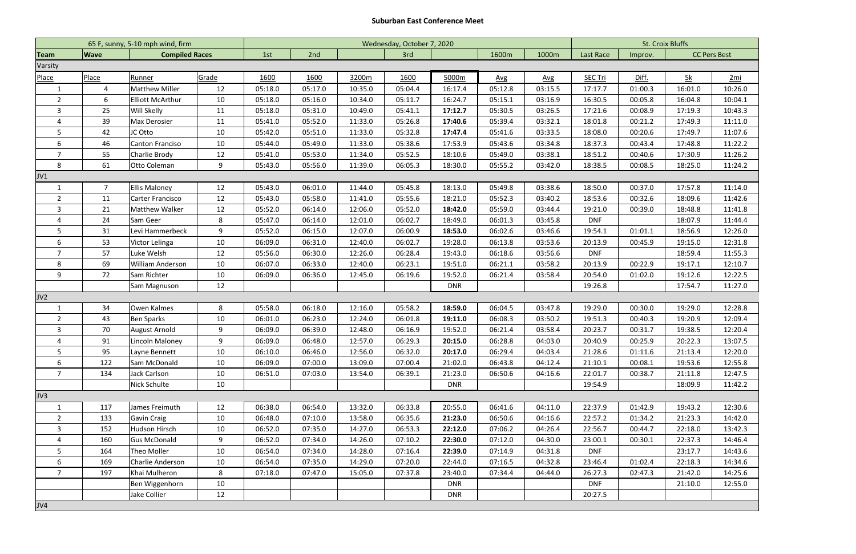## **Suburban East Conference Meet**

|                  |                | 65 F, sunny, 5-10 mph wind, firm | Wednesday, October 7, 2020 |         |            |         |         |            |            |            | <b>St. Croix Bluffs</b> |         |                     |         |
|------------------|----------------|----------------------------------|----------------------------|---------|------------|---------|---------|------------|------------|------------|-------------------------|---------|---------------------|---------|
| <b>Team</b>      | <b>Wave</b>    | <b>Compiled Races</b>            |                            | 1st     | 2nd<br>3rd |         | 1600m   |            | 1000m      | Last Race  | Improv.                 |         | <b>CC Pers Best</b> |         |
| Varsity          |                |                                  |                            |         |            |         |         |            |            |            |                         |         |                     |         |
| Place            | Place          | <u>Runner</u>                    | Grade                      | 1600    | 1600       | 3200m   | 1600    | 5000m      | <b>Avg</b> | <b>Avg</b> | <b>SEC Tri</b>          | Diff.   | 5k                  | 2mi     |
| $\mathbf{1}$     | $\overline{4}$ | <b>Matthew Miller</b>            | 12                         | 05:18.0 | 05:17.0    | 10:35.0 | 05:04.4 | 16:17.4    | 05:12.8    | 03:15.5    | 17:17.7                 | 01:00.3 | 16:01.0             | 10:26.0 |
| $\overline{2}$   | 6              | <b>Elliott McArthur</b>          | 10                         | 05:18.0 | 05:16.0    | 10:34.0 | 05:11.7 | 16:24.7    | 05:15.1    | 03:16.9    | 16:30.5                 | 00:05.8 | 16:04.8             | 10:04.1 |
| 3                | 25             | Will Skelly                      | 11                         | 05:18.0 | 05:31.0    | 10:49.0 | 05:41.1 | 17:12.7    | 05:30.5    | 03:26.5    | 17:21.6                 | 00:08.9 | 17:19.3             | 10:43.3 |
| 4                | 39             | Max Derosier                     | 11                         | 05:41.0 | 05:52.0    | 11:33.0 | 05:26.8 | 17:40.6    | 05:39.4    | 03:32.1    | 18:01.8                 | 00:21.2 | 17:49.3             | 11:11.0 |
| 5                | 42             | JC Otto                          | 10                         | 05:42.0 | 05:51.0    | 11:33.0 | 05:32.8 | 17:47.4    | 05:41.6    | 03:33.5    | 18:08.0                 | 00:20.6 | 17:49.7             | 11:07.6 |
| 6                | 46             | Canton Franciso                  | 10                         | 05:44.0 | 05:49.0    | 11:33.0 | 05:38.6 | 17:53.9    | 05:43.6    | 03:34.8    | 18:37.3                 | 00:43.4 | 17:48.8             | 11:22.2 |
| $\overline{7}$   | 55             | Charlie Brody                    | 12                         | 05:41.0 | 05:53.0    | 11:34.0 | 05:52.5 | 18:10.6    | 05:49.0    | 03:38.1    | 18:51.2                 | 00:40.6 | 17:30.9             | 11:26.2 |
| 8                | 61             | Otto Coleman                     | 9                          | 05:43.0 | 05:56.0    | 11:39.0 | 06:05.3 | 18:30.0    | 05:55.2    | 03:42.0    | 18:38.5                 | 00:08.5 | 18:25.0             | 11:24.2 |
| JV1              |                |                                  |                            |         |            |         |         |            |            |            |                         |         |                     |         |
| $\mathbf{1}$     | $\overline{7}$ | <b>Ellis Maloney</b>             | 12                         | 05:43.0 | 06:01.0    | 11:44.0 | 05:45.8 | 18:13.0    | 05:49.8    | 03:38.6    | 18:50.0                 | 00:37.0 | 17:57.8             | 11:14.0 |
| $\overline{2}$   | 11             | Carter Francisco                 | 12                         | 05:43.0 | 05:58.0    | 11:41.0 | 05:55.6 | 18:21.0    | 05:52.3    | 03:40.2    | 18:53.6                 | 00:32.6 | 18:09.6             | 11:42.6 |
| 3                | 21             | Matthew Walker                   | 12                         | 05:52.0 | 06:14.0    | 12:06.0 | 05:52.0 | 18:42.0    | 05:59.0    | 03:44.4    | 19:21.0                 | 00:39.0 | 18:48.8             | 11:41.8 |
| 4                | 24             | Sam Geer                         | 8                          | 05:47.0 | 06:14.0    | 12:01.0 | 06:02.7 | 18:49.0    | 06:01.3    | 03:45.8    | <b>DNF</b>              |         | 18:07.9             | 11:44.4 |
| 5                | 31             | Levi Hammerbeck                  | 9                          | 05:52.0 | 06:15.0    | 12:07.0 | 06:00.9 | 18:53.0    | 06:02.6    | 03:46.6    | 19:54.1                 | 01:01.1 | 18:56.9             | 12:26.0 |
| $\boldsymbol{6}$ | 53             | Victor Lelinga                   | 10                         | 06:09.0 | 06:31.0    | 12:40.0 | 06:02.7 | 19:28.0    | 06:13.8    | 03:53.6    | 20:13.9                 | 00:45.9 | 19:15.0             | 12:31.8 |
| $\overline{7}$   | 57             | Luke Welsh                       | 12                         | 05:56.0 | 06:30.0    | 12:26.0 | 06:28.4 | 19:43.0    | 06:18.6    | 03:56.6    | <b>DNF</b>              |         | 18:59.4             | 11:55.3 |
| 8                | 69             | William Anderson                 | 10                         | 06:07.0 | 06:33.0    | 12:40.0 | 06:23.1 | 19:51.0    | 06:21.1    | 03:58.2    | 20:13.9                 | 00:22.9 | 19:17.1             | 12:10.7 |
| 9                | 72             | Sam Richter                      | 10                         | 06:09.0 | 06:36.0    | 12:45.0 | 06:19.6 | 19:52.0    | 06:21.4    | 03:58.4    | 20:54.0                 | 01:02.0 | 19:12.6             | 12:22.5 |
|                  |                | Sam Magnuson                     | 12                         |         |            |         |         | <b>DNR</b> |            |            | 19:26.8                 |         | 17:54.7             | 11:27.0 |
| JV2              |                |                                  |                            |         |            |         |         |            |            |            |                         |         |                     |         |
| 1                | 34             | Owen Kalmes                      | 8                          | 05:58.0 | 06:18.0    | 12:16.0 | 05:58.2 | 18:59.0    | 06:04.5    | 03:47.8    | 19:29.0                 | 00:30.0 | 19:29.0             | 12:28.8 |
| $\overline{2}$   | 43             | <b>Ben Sparks</b>                | 10                         | 06:01.0 | 06:23.0    | 12:24.0 | 06:01.8 | 19:11.0    | 06:08.3    | 03:50.2    | 19:51.3                 | 00:40.3 | 19:20.9             | 12:09.4 |
| $\mathsf{3}$     | 70             | August Arnold                    | 9                          | 06:09.0 | 06:39.0    | 12:48.0 | 06:16.9 | 19:52.0    | 06:21.4    | 03:58.4    | 20:23.7                 | 00:31.7 | 19:38.5             | 12:20.4 |
| 4                | 91             | <b>Lincoln Maloney</b>           | 9                          | 06:09.0 | 06:48.0    | 12:57.0 | 06:29.3 | 20:15.0    | 06:28.8    | 04:03.0    | 20:40.9                 | 00:25.9 | 20:22.3             | 13:07.5 |
| $\mathsf{P}$     | 95             | Layne Bennett                    | 10                         | 06:10.0 | 06:46.0    | 12:56.0 | 06:32.0 | 20:17.0    | 06:29.4    | 04:03.4    | 21:28.6                 | 01:11.6 | 21:13.4             | 12:20.0 |
| 6                | 122            | Sam McDonald                     | 10                         | 06:09.0 | 07:00.0    | 13:09.0 | 07:00.4 | 21:02.0    | 06:43.8    | 04:12.4    | 21:10.1                 | 00:08.1 | 19:53.6             | 12:55.8 |
| $\overline{7}$   | 134            | Jack Carlson                     | 10                         | 06:51.0 | 07:03.0    | 13:54.0 | 06:39.1 | 21:23.0    | 06:50.6    | 04:16.6    | 22:01.7                 | 00:38.7 | 21:11.8             | 12:47.5 |
|                  |                | Nick Schulte                     | 10                         |         |            |         |         | <b>DNR</b> |            |            | 19:54.9                 |         | 18:09.9             | 11:42.2 |
| JV3              |                |                                  |                            |         |            |         |         |            |            |            |                         |         |                     |         |
| $\mathbf{1}$     | 117            | James Freimuth                   | 12                         | 06:38.0 | 06:54.0    | 13:32.0 | 06:33.8 | 20:55.0    | 06:41.6    | 04:11.0    | 22:37.9                 | 01:42.9 | 19:43.2             | 12:30.6 |
| $\overline{2}$   | 133            | Gavin Craig                      | 10                         | 06:48.0 | 07:10.0    | 13:58.0 | 06:35.6 | 21:23.0    | 06:50.6    | 04:16.6    | 22:57.2                 | 01:34.2 | 21:23.3             | 14:42.0 |
| $\mathbf{3}$     | 152            | Hudson Hirsch                    | 10                         | 06:52.0 | 07:35.0    | 14:27.0 | 06:53.3 | 22:12.0    | 07:06.2    | 04:26.4    | 22:56.7                 | 00:44.7 | 22:18.0             | 13:42.3 |
| 4                | 160            | <b>Gus McDonald</b>              | 9                          | 06:52.0 | 07:34.0    | 14:26.0 | 07:10.2 | 22:30.0    | 07:12.0    | 04:30.0    | 23:00.1                 | 00:30.1 | 22:37.3             | 14:46.4 |
| 5                | 164            | Theo Moller                      | 10                         | 06:54.0 | 07:34.0    | 14:28.0 | 07:16.4 | 22:39.0    | 07:14.9    | 04:31.8    | <b>DNF</b>              |         | 23:17.7             | 14:43.6 |
| 6                | 169            | Charlie Anderson                 | 10                         | 06:54.0 | 07:35.0    | 14:29.0 | 07:20.0 | 22:44.0    | 07:16.5    | 04:32.8    | 23:46.4                 | 01:02.4 | 22:18.3             | 14:34.6 |
| 7 <sup>1</sup>   | 197            | Khai Mulheron                    | 8                          | 07:18.0 | 07:47.0    | 15:05.0 | 07:37.8 | 23:40.0    | 07:34.4    | 04:44.0    | 26:27.3                 | 02:47.3 | 21:42.0             | 14:25.6 |
|                  |                | Ben Wiggenhorn                   | 10                         |         |            |         |         | <b>DNR</b> |            |            | <b>DNF</b>              |         | 21:10.0             | 12:55.0 |
|                  |                | Jake Collier                     | 12                         |         |            |         |         | <b>DNR</b> |            |            | 20:27.5                 |         |                     |         |
| JV4              |                |                                  |                            |         |            |         |         |            |            |            |                         |         |                     |         |